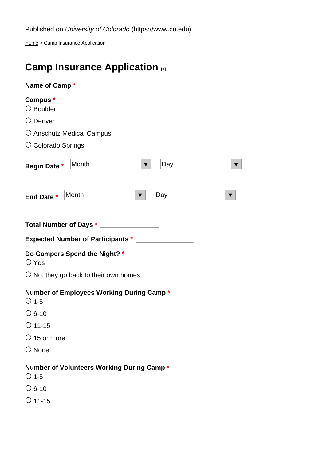Home > Camp Insurance Application

# Camp Insurance Application [1]

| Name of Camp *                                                    |
|-------------------------------------------------------------------|
| Campus *<br>% Boulder                                             |
| % $\ddot{\mathbf{b}}$ enver                                       |
| %Änschutz Medical Campus                                          |
| %Ëolorado Springs                                                 |
| %<br>%<br>Month<br>Day<br><b>Begin Date</b>                       |
| %<br>%<br>Month<br>Day<br>End Date                                |
|                                                                   |
| <b>Total Number of Days</b>                                       |
| <b>Expected Number of Participants</b>                            |
| Do Campers Spend the Night?<br>%Ëres                              |
| %Ko, they go back to their own homes                              |
| Number of Employees Working During Camp<br>*<br>$% \ddot{q}$ -5   |
| $%E = 10$<br>%#1-15                                               |
| %日 <sub>5</sub> or more                                           |
| % <b>A</b> one                                                    |
|                                                                   |
| Number of Volunteers Working During Camp<br>*<br>$% \ddot{4} - 5$ |
| $%E = 10$                                                         |
| %日1-15                                                            |
|                                                                   |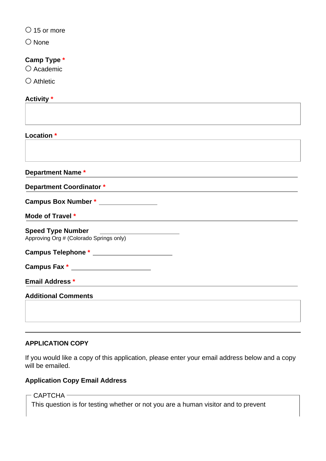$\bigcirc$  15 or more

○ None

### **Camp Type \***

○ Academic

○ Athletic

#### **Activity \***

| Location *                              |  |
|-----------------------------------------|--|
|                                         |  |
|                                         |  |
| Department Name *                       |  |
| <b>Department Coordinator *</b>         |  |
| Campus Box Number * ________________    |  |
| Mode of Travel *                        |  |
| <b>Speed Type Number</b>                |  |
| Approving Org # (Colorado Springs only) |  |
|                                         |  |
| Campus Fax * ________________________   |  |
| <b>Email Address *</b>                  |  |
| <b>Additional Comments</b>              |  |
|                                         |  |
|                                         |  |

#### **APPLICATION COPY**

If you would like a copy of this application, please enter your email address below and a copy will be emailed.

#### **Application Copy Email Address**

 $-$  CAPTCHA  $-$ 

This question is for testing whether or not you are a human visitor and to prevent